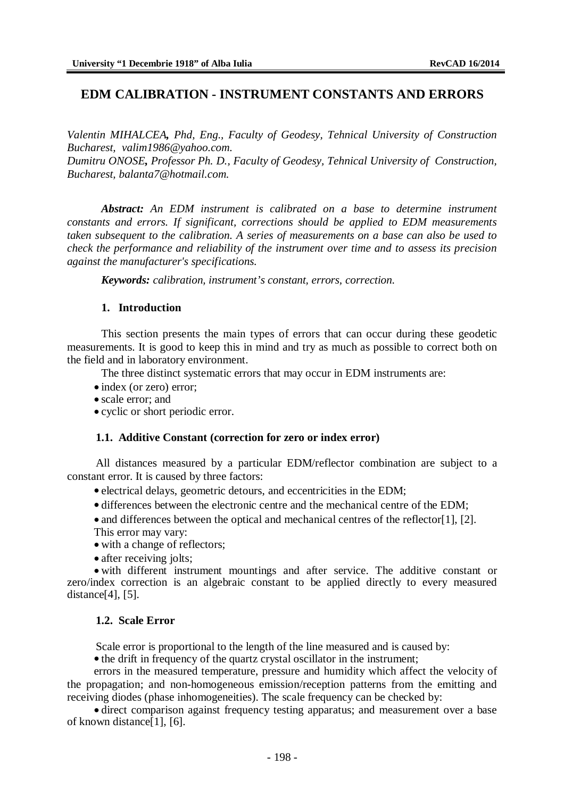# **EDM CALIBRATION - INSTRUMENT CONSTANTS AND ERRORS**

*Valentin MIHALCEA, Phd, Eng., Faculty of Geodesy, Tehnical University of Construction Bucharest, [valim1986@yahoo.com.](mailto:valim1986@yahoo.com.)*

*Dumitru ONOSE, Professor Ph. D., Faculty of Geodesy, Tehnical University of Construction, Bucharest, [balanta7@hotmail.com.](mailto:balanta7@hotmail.com.)*

*Abstract: An EDM instrument is calibrated on a base to determine instrument constants and errors. If significant, corrections should be applied to EDM measurements taken subsequent to the calibration. A series of measurements on a base can also be used to check the performance and reliability of the instrument over time and to assess its precision against the manufacturer's specifications.*

*Keywords: calibration, instrument's constant, errors, correction.*

### **1. Introduction**

This section presents the main types of errors that can occur during these geodetic measurements. It is good to keep this in mind and try as much as possible to correct both on the field and in laboratory environment.

The three distinct systematic errors that may occur in EDM instruments are:

- index (or zero) error;
- scale error; and
- cyclic or short periodic error.

### **1.1. Additive Constant (correction for zero or index error)**

All distances measured by a particular EDM/reflector combination are subject to a constant error. It is caused by three factors:

- electrical delays, geometric detours, and eccentricities in the EDM;
- differences between the electronic centre and the mechanical centre of the EDM;
- and differences between the optical and mechanical centres of the reflector[1], [2]. This error may vary:
- with a change of reflectors;
- after receiving jolts:

 with different instrument mountings and after service. The additive constant or zero/index correction is an algebraic constant to be applied directly to every measured distance[4], [5].

### **1.2. Scale Error**

Scale error is proportional to the length of the line measured and is caused by:

• the drift in frequency of the quartz crystal oscillator in the instrument:

errors in the measured temperature, pressure and humidity which affect the velocity of the propagation; and non-homogeneous emission/reception patterns from the emitting and receiving diodes (phase inhomogeneities). The scale frequency can be checked by:

 direct comparison against frequency testing apparatus; and measurement over a base of known distance[1], [6].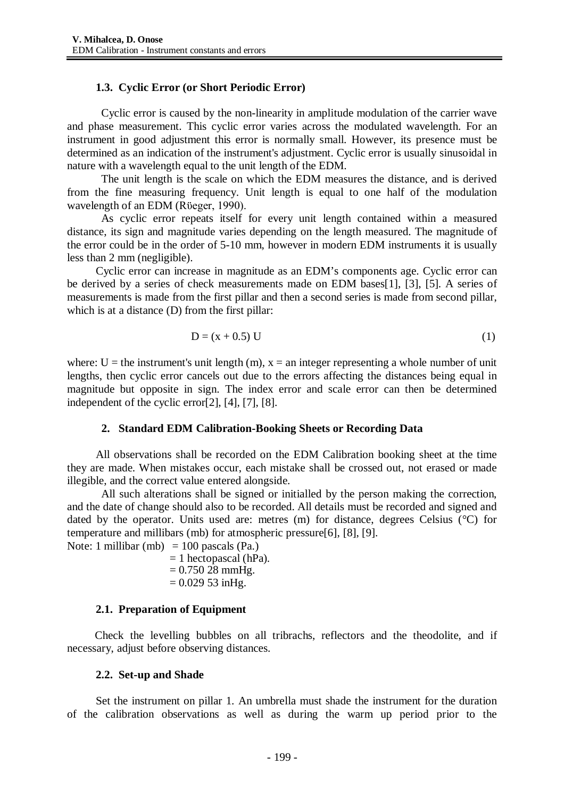# **1.3. Cyclic Error (or Short Periodic Error)**

Cyclic error is caused by the non-linearity in amplitude modulation of the carrier wave and phase measurement. This cyclic error varies across the modulated wavelength. For an instrument in good adjustment this error is normally small. However, its presence must be determined as an indication of the instrument's adjustment. Cyclic error is usually sinusoidal in nature with a wavelength equal to the unit length of the EDM.

The unit length is the scale on which the EDM measures the distance, and is derived from the fine measuring frequency. Unit length is equal to one half of the modulation wavelength of an EDM (Rüeger, 1990).

As cyclic error repeats itself for every unit length contained within a measured distance, its sign and magnitude varies depending on the length measured. The magnitude of the error could be in the order of 5-10 mm, however in modern EDM instruments it is usually less than 2 mm (negligible).

Cyclic error can increase in magnitude as an EDM's components age. Cyclic error can be derived by a series of check measurements made on EDM bases[1], [3], [5]. A series of measurements is made from the first pillar and then a second series is made from second pillar, which is at a distance (D) from the first pillar:

$$
D = (x + 0.5) U \tag{1}
$$

where:  $U =$  the instrument's unit length (m),  $x =$  an integer representing a whole number of unit lengths, then cyclic error cancels out due to the errors affecting the distances being equal in magnitude but opposite in sign. The index error and scale error can then be determined independent of the cyclic error[2], [4], [7], [8].

## **2. Standard EDM Calibration-Booking Sheets or Recording Data**

All observations shall be recorded on the EDM Calibration booking sheet at the time they are made. When mistakes occur, each mistake shall be crossed out, not erased or made illegible, and the correct value entered alongside.

All such alterations shall be signed or initialled by the person making the correction, and the date of change should also to be recorded. All details must be recorded and signed and dated by the operator. Units used are: metres (m) for distance, degrees Celsius (°C) for temperature and millibars (mb) for atmospheric pressure[6], [8], [9]. Note: 1 millibar (mb) = 100 pascals (Pa.)

 $= 1$  hectopascal (hPa).  $= 0.75028$  mmHg.  $= 0.029$  53 inHg.

## **2.1. Preparation of Equipment**

Check the levelling bubbles on all tribrachs, reflectors and the theodolite, and if necessary, adjust before observing distances.

## **2.2. Set-up and Shade**

Set the instrument on pillar 1. An umbrella must shade the instrument for the duration of the calibration observations as well as during the warm up period prior to the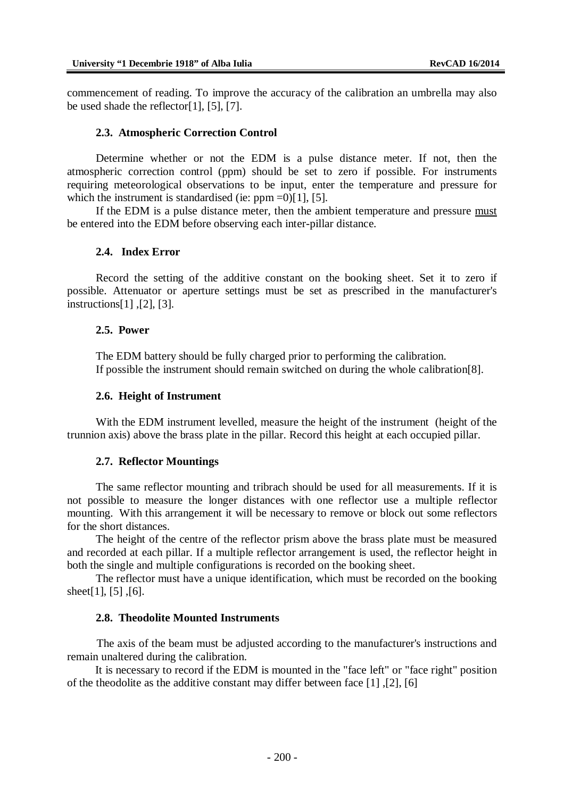commencement of reading. To improve the accuracy of the calibration an umbrella may also be used shade the reflector $[1]$ ,  $[5]$ ,  $[7]$ .

#### **2.3. Atmospheric Correction Control**

Determine whether or not the EDM is a pulse distance meter. If not, then the atmospheric correction control (ppm) should be set to zero if possible. For instruments requiring meteorological observations to be input, enter the temperature and pressure for which the instrument is standardised (ie:  $ppm = 0$ )[1], [5].

If the EDM is a pulse distance meter, then the ambient temperature and pressure must be entered into the EDM before observing each inter-pillar distance.

#### **2.4. Index Error**

Record the setting of the additive constant on the booking sheet. Set it to zero if possible. Attenuator or aperture settings must be set as prescribed in the manufacturer's instructions[1] ,[2], [3].

### **2.5. Power**

The EDM battery should be fully charged prior to performing the calibration. If possible the instrument should remain switched on during the whole calibration[8].

#### **2.6. Height of Instrument**

With the EDM instrument levelled, measure the height of the instrument (height of the trunnion axis) above the brass plate in the pillar. Record this height at each occupied pillar.

### **2.7. Reflector Mountings**

The same reflector mounting and tribrach should be used for all measurements. If it is not possible to measure the longer distances with one reflector use a multiple reflector mounting. With this arrangement it will be necessary to remove or block out some reflectors for the short distances.

The height of the centre of the reflector prism above the brass plate must be measured and recorded at each pillar. If a multiple reflector arrangement is used, the reflector height in both the single and multiple configurations is recorded on the booking sheet.

The reflector must have a unique identification, which must be recorded on the booking sheet[1], [5] ,[6].

### **2.8. Theodolite Mounted Instruments**

The axis of the beam must be adjusted according to the manufacturer's instructions and remain unaltered during the calibration.

It is necessary to record if the EDM is mounted in the "face left" or "face right" position of the theodolite as the additive constant may differ between face [1] ,[2], [6]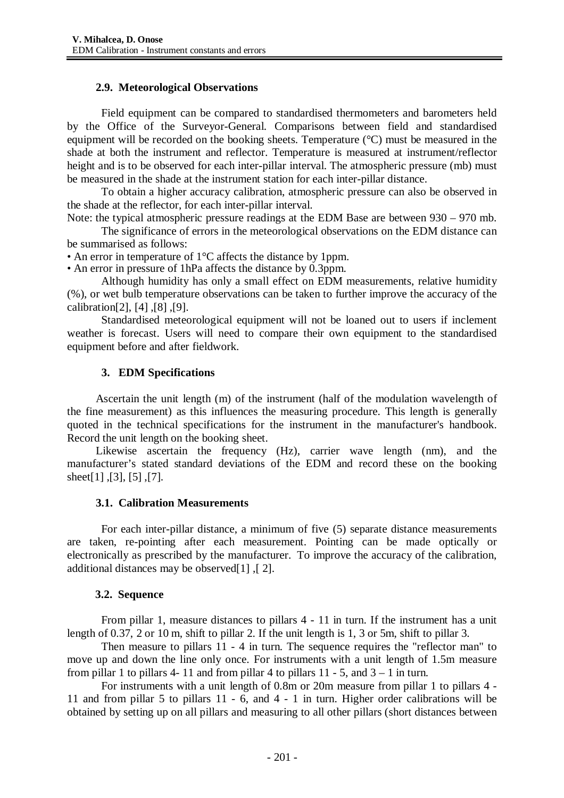## **2.9. Meteorological Observations**

Field equipment can be compared to standardised thermometers and barometers held by the Office of the Surveyor-General. Comparisons between field and standardised equipment will be recorded on the booking sheets. Temperature (°C) must be measured in the shade at both the instrument and reflector. Temperature is measured at instrument/reflector height and is to be observed for each inter-pillar interval. The atmospheric pressure (mb) must be measured in the shade at the instrument station for each inter-pillar distance.

To obtain a higher accuracy calibration, atmospheric pressure can also be observed in the shade at the reflector, for each inter-pillar interval.

Note: the typical atmospheric pressure readings at the EDM Base are between 930 – 970 mb.

The significance of errors in the meteorological observations on the EDM distance can be summarised as follows:

• An error in temperature of 1<sup>o</sup>C affects the distance by 1ppm.

• An error in pressure of 1hPa affects the distance by 0.3ppm.

Although humidity has only a small effect on EDM measurements, relative humidity (%), or wet bulb temperature observations can be taken to further improve the accuracy of the calibration[2], [4] ,[8] ,[9].

Standardised meteorological equipment will not be loaned out to users if inclement weather is forecast. Users will need to compare their own equipment to the standardised equipment before and after fieldwork.

## **3. EDM Specifications**

Ascertain the unit length (m) of the instrument (half of the modulation wavelength of the fine measurement) as this influences the measuring procedure. This length is generally quoted in the technical specifications for the instrument in the manufacturer's handbook. Record the unit length on the booking sheet.

Likewise ascertain the frequency (Hz), carrier wave length (nm), and the manufacturer's stated standard deviations of the EDM and record these on the booking sheet[1] ,[3], [5] ,[7].

## **3.1. Calibration Measurements**

For each inter-pillar distance, a minimum of five (5) separate distance measurements are taken, re-pointing after each measurement. Pointing can be made optically or electronically as prescribed by the manufacturer. To improve the accuracy of the calibration, additional distances may be observed[1] ,[ 2].

## **3.2. Sequence**

From pillar 1, measure distances to pillars 4 - 11 in turn. If the instrument has a unit length of 0.37, 2 or 10 m, shift to pillar 2. If the unit length is 1, 3 or 5m, shift to pillar 3.

Then measure to pillars 11 - 4 in turn. The sequence requires the "reflector man" to move up and down the line only once. For instruments with a unit length of 1.5m measure from pillar 1 to pillars 4- 11 and from pillar 4 to pillars  $11 - 5$ , and  $3 - 1$  in turn.

For instruments with a unit length of 0.8m or 20m measure from pillar 1 to pillars 4 - 11 and from pillar 5 to pillars 11 - 6, and 4 - 1 in turn. Higher order calibrations will be obtained by setting up on all pillars and measuring to all other pillars (short distances between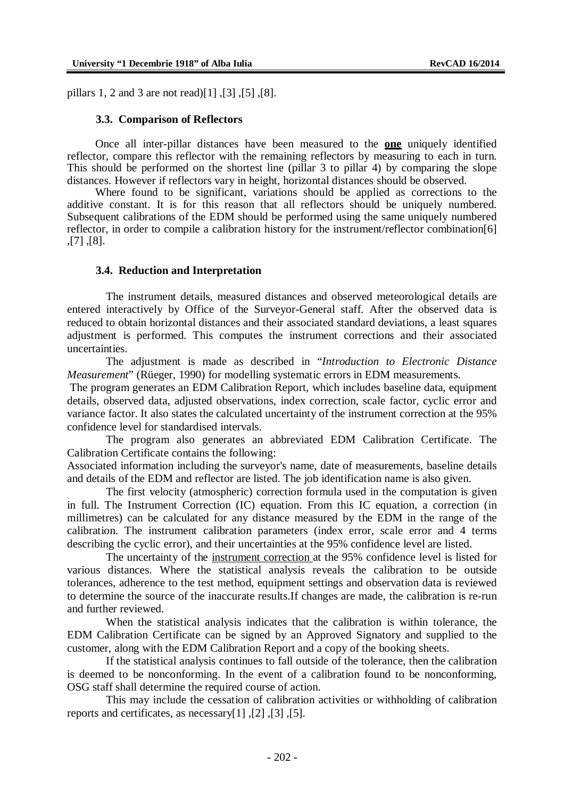pillars 1, 2 and 3 are not read)[1] ,[3] ,[5] ,[8].

#### **3.3. Comparison of Reflectors**

Once all inter-pillar distances have been measured to the **one** uniquely identified reflector, compare this reflector with the remaining reflectors by measuring to each in turn. This should be performed on the shortest line (pillar 3 to pillar 4) by comparing the slope distances. However if reflectors vary in height, horizontal distances should be observed.

Where found to be significant, variations should be applied as corrections to the additive constant. It is for this reason that all reflectors should be uniquely numbered. Subsequent calibrations of the EDM should be performed using the same uniquely numbered reflector, in order to compile a calibration history for the instrument/reflector combination[6] ,[7] ,[8].

#### **3.4. Reduction and Interpretation**

The instrument details, measured distances and observed meteorological details are entered interactively by Office of the Surveyor-General staff. After the observed data is reduced to obtain horizontal distances and their associated standard deviations, a least squares adjustment is performed. This computes the instrument corrections and their associated uncertainties.

The adjustment is made as described in "*Introduction to Electronic Distance Measurement*" (Rüeger, 1990) for modelling systematic errors in EDM measurements.

The program generates an EDM Calibration Report, which includes baseline data, equipment details, observed data, adjusted observations, index correction, scale factor, cyclic error and variance factor. It also states the calculated uncertainty of the instrument correction at the 95% confidence level for standardised intervals.

The program also generates an abbreviated EDM Calibration Certificate. The Calibration Certificate contains the following:

Associated information including the surveyor's name, date of measurements, baseline details and details of the EDM and reflector are listed. The job identification name is also given.

The first velocity (atmospheric) correction formula used in the computation is given in full. The Instrument Correction (IC) equation. From this IC equation, a correction (in millimetres) can be calculated for any distance measured by the EDM in the range of the calibration. The instrument calibration parameters (index error, scale error and 4 terms describing the cyclic error), and their uncertainties at the 95% confidence level are listed.

The uncertainty of the instrument correction at the 95% confidence level is listed for various distances. Where the statistical analysis reveals the calibration to be outside tolerances, adherence to the test method, equipment settings and observation data is reviewed to determine the source of the inaccurate results.If changes are made, the calibration is re-run and further reviewed.

When the statistical analysis indicates that the calibration is within tolerance, the EDM Calibration Certificate can be signed by an Approved Signatory and supplied to the customer, along with the EDM Calibration Report and a copy of the booking sheets.

If the statistical analysis continues to fall outside of the tolerance, then the calibration is deemed to be nonconforming. In the event of a calibration found to be nonconforming, OSG staff shall determine the required course of action.

This may include the cessation of calibration activities or withholding of calibration reports and certificates, as necessary[1] ,[2] ,[3] ,[5].